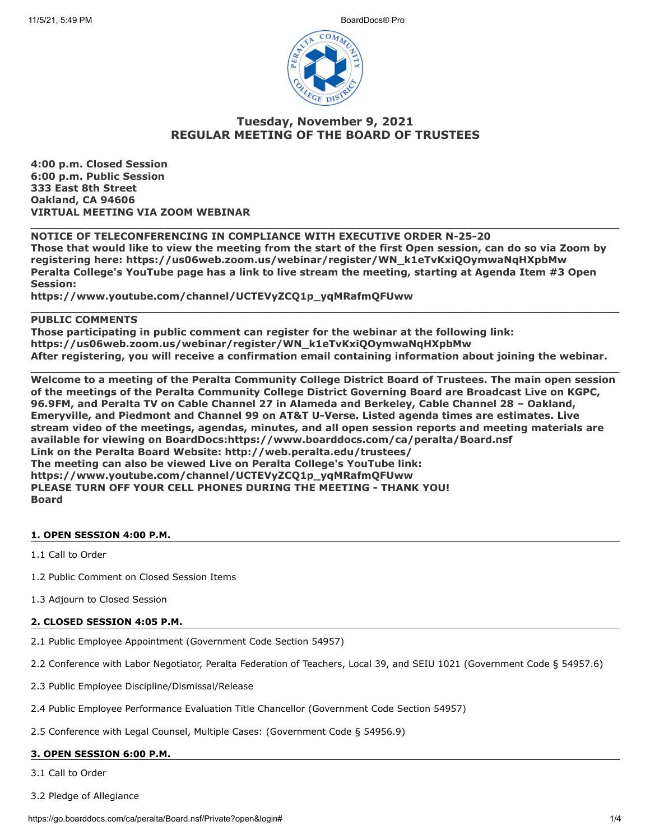

# **Tuesday, November 9, 2021 REGULAR MEETING OF THE BOARD OF TRUSTEES**

**4:00 p.m. Closed Session 6:00 p.m. Public Session 333 East 8th Street Oakland, CA 94606 VIRTUAL MEETING VIA ZOOM WEBINAR**

## **NOTICE OF TELECONFERENCING IN COMPLIANCE WITH EXECUTIVE ORDER N-25-20 Those that would like to view the meeting from the start of the first Open session, can do so via Zoom by registering here: https://us06web.zoom.us/webinar/register/WN\_k1eTvKxiQOymwaNqHXpbMw Peralta College's YouTube page has a link to live stream the meeting, starting at Agenda Item #3 Open Session:**

**\_\_\_\_\_\_\_\_\_\_\_\_\_\_\_\_\_\_\_\_\_\_\_\_\_\_\_\_\_\_\_\_\_\_\_\_\_\_\_\_\_\_\_\_\_\_\_\_\_\_\_\_\_\_\_\_\_\_\_\_\_\_\_\_\_\_\_\_\_\_\_\_\_\_\_\_\_\_\_\_\_\_\_\_\_**

**https://www.youtube.com/channel/UCTEVyZCQ1p\_yqMRafmQFUww**

## **PUBLIC COMMENTS**

**Those participating in public comment can register for the webinar at the following link: https://us06web.zoom.us/webinar/register/WN\_k1eTvKxiQOymwaNqHXpbMw After registering, you will receive a confirmation email containing information about joining the webinar.**

**\_\_\_\_\_\_\_\_\_\_\_\_\_\_\_\_\_\_\_\_\_\_\_\_\_\_\_\_\_\_\_\_\_\_\_\_\_\_\_\_\_\_\_\_\_\_\_\_\_\_\_\_\_\_\_\_\_\_\_\_\_\_\_\_\_\_\_\_\_\_\_\_\_\_\_\_\_\_\_\_\_\_\_\_\_**

**\_\_\_\_\_\_\_\_\_\_\_\_\_\_\_\_\_\_\_\_\_\_\_\_\_\_\_\_\_\_\_\_\_\_\_\_\_\_\_\_\_\_\_\_\_\_\_\_\_\_\_\_\_\_\_\_\_\_\_\_\_\_\_\_\_\_\_\_\_\_\_\_\_\_\_\_\_\_\_\_\_\_\_\_\_**

**Welcome to a meeting of the Peralta Community College District Board of Trustees. The main open session of the meetings of the Peralta Community College District Governing Board are Broadcast Live on KGPC, 96.9FM, and Peralta TV on Cable Channel 27 in Alameda and Berkeley, Cable Channel 28 – Oakland, Emeryville, and Piedmont and Channel 99 on AT&T U-Verse. Listed agenda times are estimates. Live stream video of the meetings, agendas, minutes, and all open session reports and meeting materials are available for viewing on BoardDocs:https://www.boarddocs.com/ca/peralta/Board.nsf Link on the Peralta Board Website: http://web.peralta.edu/trustees/ The meeting can also be viewed Live on Peralta College's YouTube link: https://www.youtube.com/channel/UCTEVyZCQ1p\_yqMRafmQFUww PLEASE TURN OFF YOUR CELL PHONES DURING THE MEETING - THANK YOU! Board**

## **1. OPEN SESSION 4:00 P.M.**

1.1 Call to Order

- 1.2 Public Comment on Closed Session Items
- 1.3 Adjourn to Closed Session

#### **2. CLOSED SESSION 4:05 P.M.**

- 2.1 Public Employee Appointment (Government Code Section 54957)
- 2.2 Conference with Labor Negotiator, Peralta Federation of Teachers, Local 39, and SEIU 1021 (Government Code § 54957.6)
- 2.3 Public Employee Discipline/Dismissal/Release
- 2.4 Public Employee Performance Evaluation Title Chancellor (Government Code Section 54957)
- 2.5 Conference with Legal Counsel, Multiple Cases: (Government Code § 54956.9)

## **3. OPEN SESSION 6:00 P.M.**

3.1 Call to Order

3.2 Pledge of Allegiance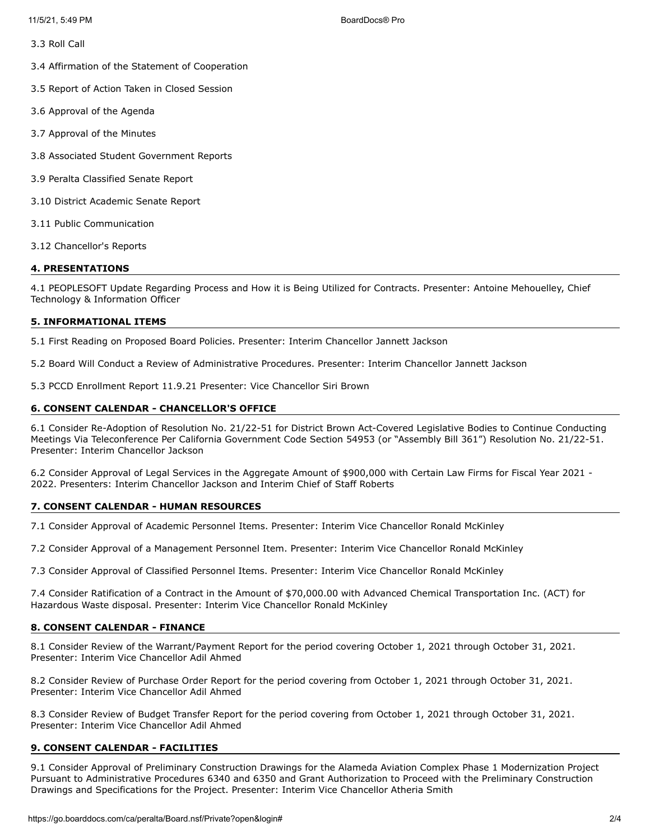3.3 Roll Call

3.4 Affirmation of the Statement of Cooperation

3.5 Report of Action Taken in Closed Session

3.6 Approval of the Agenda

3.7 Approval of the Minutes

3.8 Associated Student Government Reports

3.9 Peralta Classified Senate Report

3.10 District Academic Senate Report

3.11 Public Communication

3.12 Chancellor's Reports

#### **4. PRESENTATIONS**

4.1 PEOPLESOFT Update Regarding Process and How it is Being Utilized for Contracts. Presenter: Antoine Mehouelley, Chief Technology & Information Officer

#### **5. INFORMATIONAL ITEMS**

5.1 First Reading on Proposed Board Policies. Presenter: Interim Chancellor Jannett Jackson

5.2 Board Will Conduct a Review of Administrative Procedures. Presenter: Interim Chancellor Jannett Jackson

5.3 PCCD Enrollment Report 11.9.21 Presenter: Vice Chancellor Siri Brown

#### **6. CONSENT CALENDAR - CHANCELLOR'S OFFICE**

6.1 Consider Re-Adoption of Resolution No. 21/22-51 for District Brown Act-Covered Legislative Bodies to Continue Conducting Meetings Via Teleconference Per California Government Code Section 54953 (or "Assembly Bill 361") Resolution No. 21/22-51. Presenter: Interim Chancellor Jackson

6.2 Consider Approval of Legal Services in the Aggregate Amount of \$900,000 with Certain Law Firms for Fiscal Year 2021 - 2022. Presenters: Interim Chancellor Jackson and Interim Chief of Staff Roberts

#### **7. CONSENT CALENDAR - HUMAN RESOURCES**

7.1 Consider Approval of Academic Personnel Items. Presenter: Interim Vice Chancellor Ronald McKinley

7.2 Consider Approval of a Management Personnel Item. Presenter: Interim Vice Chancellor Ronald McKinley

7.3 Consider Approval of Classified Personnel Items. Presenter: Interim Vice Chancellor Ronald McKinley

7.4 Consider Ratification of a Contract in the Amount of \$70,000.00 with Advanced Chemical Transportation Inc. (ACT) for Hazardous Waste disposal. Presenter: Interim Vice Chancellor Ronald McKinley

#### **8. CONSENT CALENDAR - FINANCE**

8.1 Consider Review of the Warrant/Payment Report for the period covering October 1, 2021 through October 31, 2021. Presenter: Interim Vice Chancellor Adil Ahmed

8.2 Consider Review of Purchase Order Report for the period covering from October 1, 2021 through October 31, 2021. Presenter: Interim Vice Chancellor Adil Ahmed

8.3 Consider Review of Budget Transfer Report for the period covering from October 1, 2021 through October 31, 2021. Presenter: Interim Vice Chancellor Adil Ahmed

### **9. CONSENT CALENDAR - FACILITIES**

9.1 Consider Approval of Preliminary Construction Drawings for the Alameda Aviation Complex Phase 1 Modernization Project Pursuant to Administrative Procedures 6340 and 6350 and Grant Authorization to Proceed with the Preliminary Construction Drawings and Specifications for the Project. Presenter: Interim Vice Chancellor Atheria Smith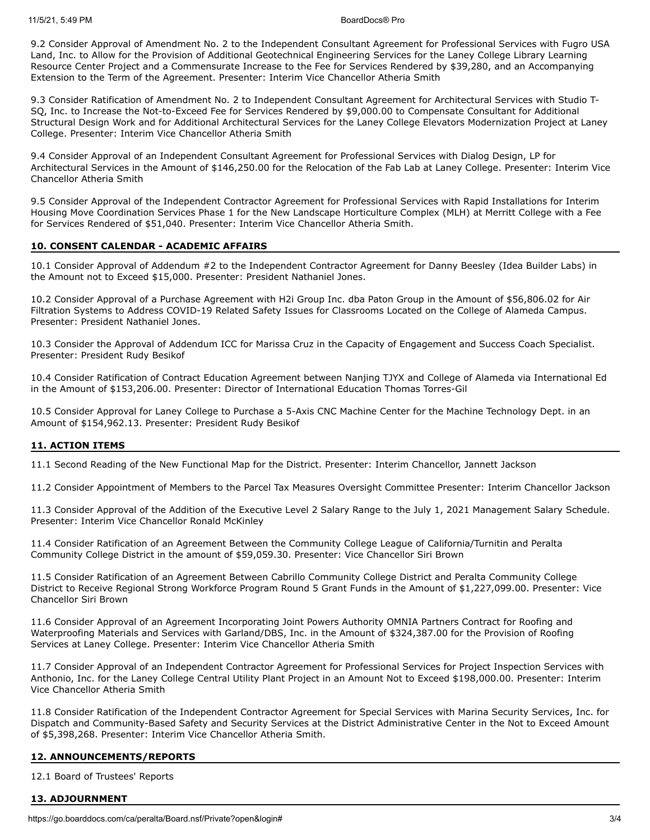9.2 Consider Approval of Amendment No. 2 to the Independent Consultant Agreement for Professional Services with Fugro USA Land, Inc. to Allow for the Provision of Additional Geotechnical Engineering Services for the Laney College Library Learning Resource Center Project and a Commensurate Increase to the Fee for Services Rendered by \$39,280, and an Accompanying Extension to the Term of the Agreement. Presenter: Interim Vice Chancellor Atheria Smith

9.3 Consider Ratification of Amendment No. 2 to Independent Consultant Agreement for Architectural Services with Studio T-SQ, Inc. to Increase the Not-to-Exceed Fee for Services Rendered by \$9,000.00 to Compensate Consultant for Additional Structural Design Work and for Additional Architectural Services for the Laney College Elevators Modernization Project at Laney College. Presenter: Interim Vice Chancellor Atheria Smith

9.4 Consider Approval of an Independent Consultant Agreement for Professional Services with Dialog Design, LP for Architectural Services in the Amount of \$146,250.00 for the Relocation of the Fab Lab at Laney College. Presenter: Interim Vice Chancellor Atheria Smith

9.5 Consider Approval of the Independent Contractor Agreement for Professional Services with Rapid Installations for Interim Housing Move Coordination Services Phase 1 for the New Landscape Horticulture Complex (MLH) at Merritt College with a Fee for Services Rendered of \$51,040. Presenter: Interim Vice Chancellor Atheria Smith.

### **10. CONSENT CALENDAR - ACADEMIC AFFAIRS**

10.1 Consider Approval of Addendum #2 to the Independent Contractor Agreement for Danny Beesley (Idea Builder Labs) in the Amount not to Exceed \$15,000. Presenter: President Nathaniel Jones.

10.2 Consider Approval of a Purchase Agreement with H2i Group Inc. dba Paton Group in the Amount of \$56,806.02 for Air Filtration Systems to Address COVID-19 Related Safety Issues for Classrooms Located on the College of Alameda Campus. Presenter: President Nathaniel Jones.

10.3 Consider the Approval of Addendum ICC for Marissa Cruz in the Capacity of Engagement and Success Coach Specialist. Presenter: President Rudy Besikof

10.4 Consider Ratification of Contract Education Agreement between Nanjing TJYX and College of Alameda via International Ed in the Amount of \$153,206.00. Presenter: Director of International Education Thomas Torres-Gil

10.5 Consider Approval for Laney College to Purchase a 5-Axis CNC Machine Center for the Machine Technology Dept. in an Amount of \$154,962.13. Presenter: President Rudy Besikof

## **11. ACTION ITEMS**

11.1 Second Reading of the New Functional Map for the District. Presenter: Interim Chancellor, Jannett Jackson

11.2 Consider Appointment of Members to the Parcel Tax Measures Oversight Committee Presenter: Interim Chancellor Jackson

11.3 Consider Approval of the Addition of the Executive Level 2 Salary Range to the July 1, 2021 Management Salary Schedule. Presenter: Interim Vice Chancellor Ronald McKinley

11.4 Consider Ratification of an Agreement Between the Community College League of California/Turnitin and Peralta Community College District in the amount of \$59,059.30. Presenter: Vice Chancellor Siri Brown

11.5 Consider Ratification of an Agreement Between Cabrillo Community College District and Peralta Community College District to Receive Regional Strong Workforce Program Round 5 Grant Funds in the Amount of \$1,227,099.00. Presenter: Vice Chancellor Siri Brown

11.6 Consider Approval of an Agreement Incorporating Joint Powers Authority OMNIA Partners Contract for Roofing and Waterproofing Materials and Services with Garland/DBS, Inc. in the Amount of \$324,387.00 for the Provision of Roofing Services at Laney College. Presenter: Interim Vice Chancellor Atheria Smith

11.7 Consider Approval of an Independent Contractor Agreement for Professional Services for Project Inspection Services with Anthonio, Inc. for the Laney College Central Utility Plant Project in an Amount Not to Exceed \$198,000.00. Presenter: Interim Vice Chancellor Atheria Smith

11.8 Consider Ratification of the Independent Contractor Agreement for Special Services with Marina Security Services, Inc. for Dispatch and Community-Based Safety and Security Services at the District Administrative Center in the Not to Exceed Amount of \$5,398,268. Presenter: Interim Vice Chancellor Atheria Smith.

#### **12. ANNOUNCEMENTS/REPORTS**

12.1 Board of Trustees' Reports

#### **13. ADJOURNMENT**